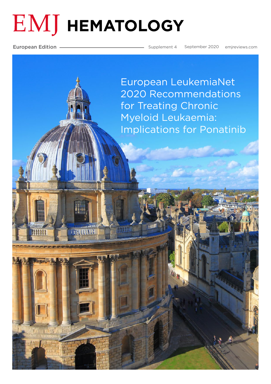# **EMJ HEMATOLOGY**

**7785TULYP** 

European Edition **Supplement 4 September 2020** [emjreviews.com](https://www.emjreviews.com/)

European LeukemiaNet [2020 Recommendations](#page-1-0)  for Treating Chronic Myeloid Leukaemia: Implications for Ponatinib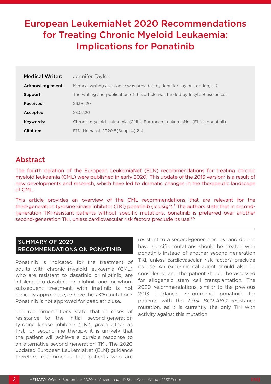# <span id="page-1-0"></span>European LeukemiaNet 2020 Recommendations for Treating Chronic Myeloid Leukaemia: Implications for Ponatinib

| <b>Medical Writer:</b> | Jennifer Taylor                                                               |  |
|------------------------|-------------------------------------------------------------------------------|--|
| Acknowledgements:      | Medical writing assistance was provided by Jennifer Taylor, London, UK.       |  |
| Support:               | The writing and publication of this article was funded by Incyte Biosciences. |  |
| Received:              | 26.06.20                                                                      |  |
| Accepted:              | 23.07.20                                                                      |  |
| Keywords:              | Chronic myeloid leukaemia (CML), European LeukemiaNet (ELN), ponatinib.       |  |
| Citation:              | EMJ Hematol. 2020;8[Suppl 4]:2-4.                                             |  |

# Abstract

The fourth iteration of the European LeukemiaNet (ELN) recommendations for treating chronic myeloid leukaemia (CML) were published in early 2020.<sup>1</sup> This update of the 2013 version<sup>2</sup> is a result of new developments and research, which have led to dramatic changes in the therapeutic landscape of CML.

This article provides an overview of the CML recommendations that are relevant for the third-generation tyrosine kinase inhibitor (TKI) ponatinib (Iclusig®).<sup>3</sup> The authors state that in secondgeneration TKI-resistant patients without specific mutations, ponatinib is preferred over another second-generation TKI, unless cardiovascular risk factors preclude its use.<sup>4,5</sup>

# SUMMARY OF 2020 RECOMMENDATIONS ON PONATINIB

Ponatinib is indicated for the treatment of adults with chronic myeloid leukaemia (CML) who are resistant to dasatinib or nilotinib, are intolerant to dasatinib or nilotinib and for whom subsequent treatment with imatinib is not clinically appropriate, or have the *T315I* mutation.3 Ponatinib is not approved for paediatric use.

The recommendations state that in cases of resistance to the initial second-generation tyrosine kinase inhibitor (TKI), given either as first- or second-line therapy, it is unlikely that the patient will achieve a durable response to an alternative second-generation TKI. The 2020 updated European LeukemiaNet (ELN) guidance therefore recommends that patients who are

resistant to a second-generation TKI and do not have specific mutations should be treated with ponatinib instead of another second-generation TKI, unless cardiovascular risk factors preclude its use. An experimental agent should also be considered, and the patient should be assessed for allogeneic stem cell transplantation. The 2020 recommendations, similar to the previous 2013 guidance, recommend ponatinib for patients with the *T315I BCR-ABL1* resistance mutation, as it is currently the only TKI with activity against this mutation.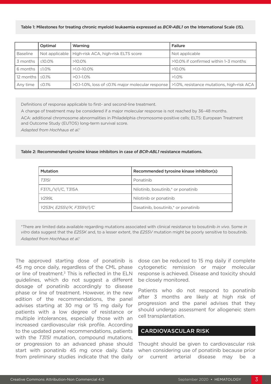#### Table 1: Milestones for treating chronic myeloid leukaemia expressed as *BCR-ABL1* on the International Scale (IS).

|                                      | Optimal       | Warning                                                                                                    | Failure                               |
|--------------------------------------|---------------|------------------------------------------------------------------------------------------------------------|---------------------------------------|
| <b>Baseline</b>                      |               | Not applicable   High-risk ACA, high-risk ELTS score                                                       | Not applicable                        |
| l 3 months                           | $\leq 10.0\%$ | $>10.0\%$                                                                                                  | >10.0% if confirmed within 1-3 months |
| l 6 months                           | $\leq1.0\%$   | $>1.0 - 10.0\%$                                                                                            | $>10.0\%$                             |
| $\vert$ 12 months $\vert \leq 0.1\%$ |               | $>0.1 - 1.0\%$                                                                                             | $>1.0\%$                              |
| Any time                             | $\leq$ 0.1%   | $>0.1$ -1.0%, loss of $\leq$ 0.1% major molecular response   $>$ 1.0%, resistance mutations, high-risk ACA |                                       |

Definitions of response applicable to first- and second-line treatment.

A change of treatment may be considered if a major molecular response is not reached by 36–48 months.

ACA: additional chromosome abnormalities in Philadelphia chromosome-positive cells; ELTS: European Treatment and Outcome Study (EUTOS) long-term survival score.

*Adapted from Hochhaus et al.1*

Table 2: Recommended tyrosine kinase inhibitors in case of *BCR-ABL1* resistance mutations.

| <b>Mutation</b>           | Recommended tyrosine kinase inhibitor(s) |
|---------------------------|------------------------------------------|
| T315I                     | Ponatinib                                |
| F317L/V/I/C, T315A        | Nilotinib, bosutinib,* or ponatinib      |
| V299L                     | Nilotinib or ponatinib                   |
| Y253H, E255V/K, F359V/I/C | Dasatinib, bosutinib,* or ponatinib      |

\*There are limited data available regarding mutations associated with clinical resistance to bosutinib *in vivo*. Some *in vitro* data suggest that the *E255K* and, to a lesser extent, the *E255V* mutation might be poorly sensitive to bosutinib. *Adapted from Hochhaus et al.1*

The approved starting dose of ponatinib is 45 mg once daily, regardless of the CML phase or line of treatment.<sup>3</sup> This is reflected in the ELN guidelines, which do not suggest a different dosage of ponatinib accordingly to disease phase or line of treatment. However, in the new edition of the recommendations, the panel advises starting at 30 mg or 15 mg daily for patients with a low degree of resistance or multiple intolerances, especially those with an increased cardiovascular risk profile. According to the updated panel recommendations, patients with the *T315I* mutation, compound mutations, or progression to an advanced phase should start with ponatinib 45 mg once daily. Data from preliminary studies indicate that the daily

dose can be reduced to 15 mg daily if complete cytogenetic remission or major molecular response is achieved. Disease and toxicity should be closely monitored.

Patients who do not respond to ponatinib after 3 months are likely at high risk of progression and the panel advises that they should undergo assessment for allogeneic stem cell transplantation.

### CARDIOVASCULAR RISK

Thought should be given to cardiovascular risk when considering use of ponatinib because prior or current arterial disease may be a